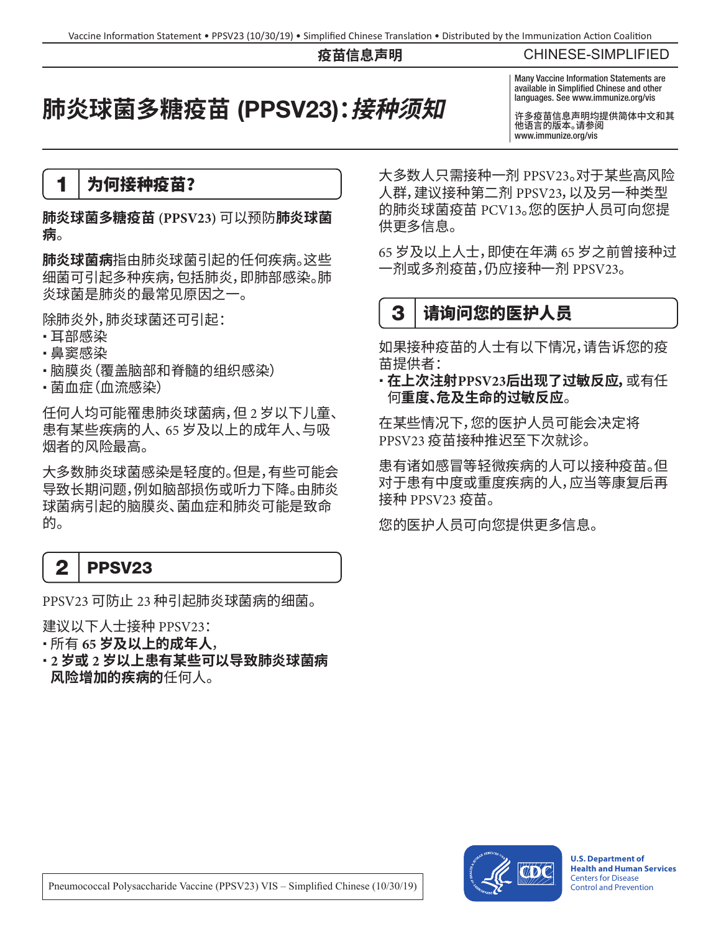#### **疫苗信息声明**

CHINESE-SIMPLIFIED

# **肺炎球菌多糖疫苗** (PPSV23)**:接种须知**

Many Vaccine Information Statements are available in Simplified Chinese and other languages. See www.immunize.org/vis

许多疫苗信息声明均提供简体中文和其 他语言的版本。请参阅 [www.immunize.org/vis](http://www.immunize.org/vis)

1 为何接种疫苗?

**肺炎球菌多糖疫苗 (PPSV23)** 可以预防**肺炎球菌 病**。

**肺炎球菌病**指由肺炎球菌引起的任何疾病。这些 细菌可引起多种疾病,包括肺炎,即肺部感染。肺 炎球菌是肺炎的最常见原因之一。

除肺炎外,肺炎球菌还可引起:

- •耳部感染
- 鼻窦感染
- •脑膜炎(覆盖脑部和脊髓的组织感染)
- 菌血症(血流感染)

任何人均可能罹患肺炎球菌病,但 2 岁以下儿童、 患有某些疾病的人、65 岁及以上的成年人、与吸 烟者的风险最高。

大多数肺炎球菌感染是轻度的。但是,有些可能会 导致长期问题,例如脑部损伤或听力下降。由肺炎 球菌病引起的脑膜炎、菌血症和肺炎可能是致命 的。

# 2 | PPSV23

PPSV23 可防止 23 种引起肺炎球菌病的细菌。

建议以下人士接种 PPSV23:

- 所有 **65 岁及以上的成年人**,
- **2 岁或 2 岁以上患有某些可以导致肺炎球菌病 风险增加的疾病的**任何人。

大多数人只需接种一剂 PPSV23。对于某些高风险 人群,建议接种第二剂 PPSV23,以及另一种类型 的肺炎球菌疫苗 PCV13。您的医护人员可向您提 供更多信息。

65 岁及以上人士,即使在年满 65 岁之前曾接种过 一剂或多剂疫苗,仍应接种一剂 PPSV23。

# 3 请询问您的医护人员

如果接种疫苗的人士有以下情况,请告诉您的疫 苗提供者:

 **在上次注射PPSV23后出现了过敏反应,**或有任 何**重度、危及生命的过敏反应**。

在某些情况下,您的医护人员可能会决定将 PPSV23 疫苗接种推迟至下次就诊。

患有诸如感冒等轻微疾病的人可以接种疫苗。但 对于患有中度或重度疾病的人,应当等康复后再 接种 PPSV23 疫苗。

您的医护人员可向您提供更多信息。



**U.S. Department of Health and Human Services**  Centers for Disease Control and Prevention

Pneumococcal Polysaccharide Vaccine (PPSV23) VIS – Simplified Chinese (10/30/19)